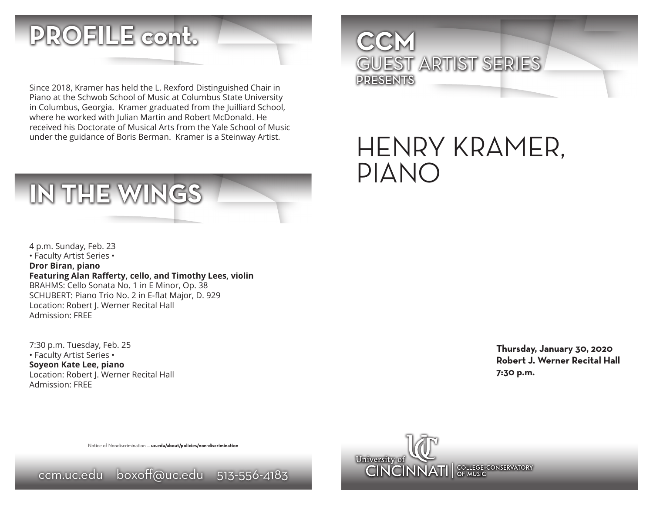

Since 2018, Kramer has held the L. Rexford Distinguished Chair in Piano at the Schwob School of Music at Columbus State University in Columbus, Georgia. Kramer graduated from the Juilliard School, where he worked with Julian Martin and Robert McDonald. He received his Doctorate of Musical Arts from the Yale School of Music under the guidance of Boris Berman. Kramer is a Steinway Artist.



4 p.m. Sunday, Feb. 23 • Faculty Artist Series • **Dror Biran, piano Featuring Alan Rafferty, cello, and Timothy Lees, violin** BRAHMS: Cello Sonata No. 1 in E Minor, Op. 38 SCHUBERT: Piano Trio No. 2 in E-flat Major, D. 929 Location: Robert J. Werner Recital Hall Admission: FREE

7:30 p.m. Tuesday, Feb. 25 • Faculty Artist Series • **Soyeon Kate Lee, piano** Location: Robert J. Werner Recital Hall Admission: FREE

Notice of Nondiscrimination — **uc.edu/about/policies/non-discrimination**





HENRY KRAMER, PIANO

> **Thursday, January 30, 2020 Robert J. Werner Recital Hall 7:30 p.m.**

## ccm.uc.edu boxoff@uc.edu 513-556-4183